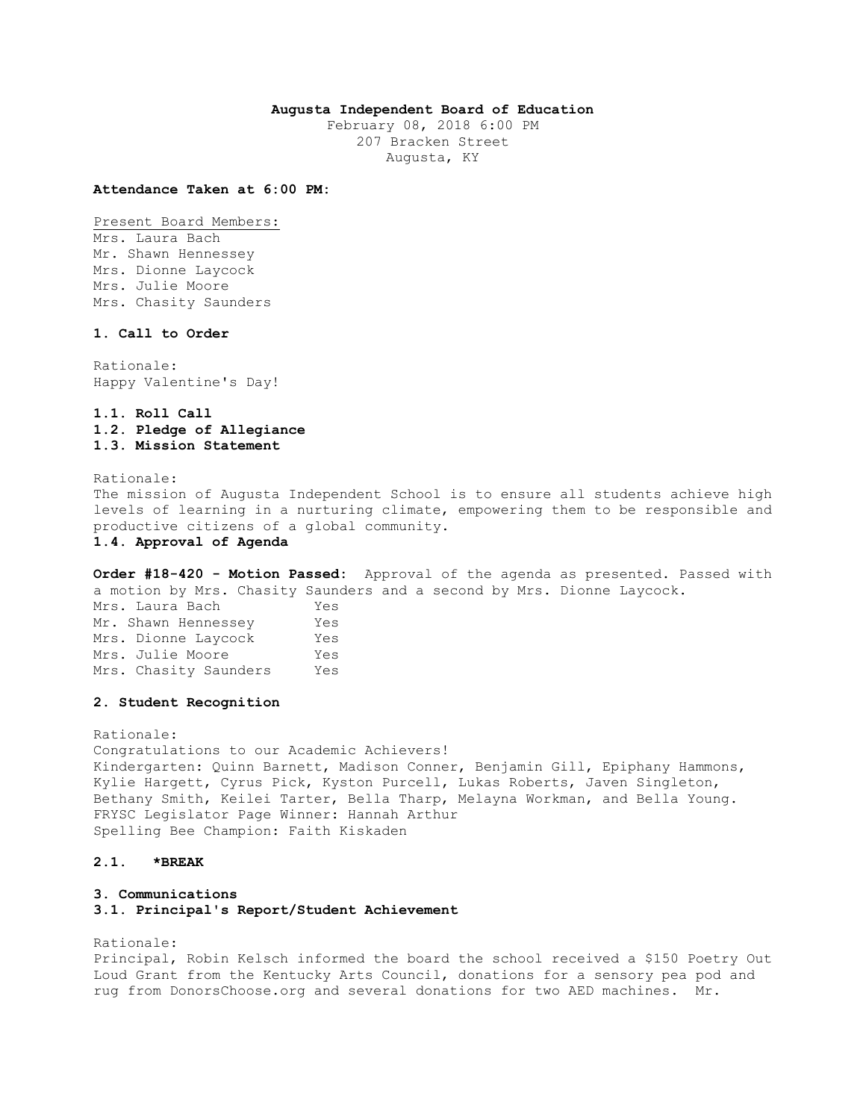## **Augusta Independent Board of Education**

February 08, 2018 6:00 PM 207 Bracken Street Augusta, KY

#### **Attendance Taken at 6:00 PM:**

Present Board Members:

Mrs. Laura Bach Mr. Shawn Hennessey Mrs. Dionne Laycock Mrs. Julie Moore Mrs. Chasity Saunders

## **1. Call to Order**

Rationale: Happy Valentine's Day!

# **1.1. Roll Call 1.2. Pledge of Allegiance 1.3. Mission Statement**

Rationale:

The mission of Augusta Independent School is to ensure all students achieve high levels of learning in a nurturing climate, empowering them to be responsible and productive citizens of a global community.

## **1.4. Approval of Agenda**

**Order #18-420 - Motion Passed:** Approval of the agenda as presented. Passed with a motion by Mrs. Chasity Saunders and a second by Mrs. Dionne Laycock.

Mrs. Laura Bach Yes Mr. Shawn Hennessey Yes Mrs. Dionne Laycock Yes Mrs. Julie Moore Yes Mrs. Chasity Saunders Yes

## **2. Student Recognition**

Rationale: Congratulations to our Academic Achievers! Kindergarten: Quinn Barnett, Madison Conner, Benjamin Gill, Epiphany Hammons, Kylie Hargett, Cyrus Pick, Kyston Purcell, Lukas Roberts, Javen Singleton, Bethany Smith, Keilei Tarter, Bella Tharp, Melayna Workman, and Bella Young. FRYSC Legislator Page Winner: Hannah Arthur Spelling Bee Champion: Faith Kiskaden

#### **2.1. \*BREAK**

### **3. Communications**

### **3.1. Principal's Report/Student Achievement**

Rationale:

Principal, Robin Kelsch informed the board the school received a \$150 Poetry Out Loud Grant from the Kentucky Arts Council, donations for a sensory pea pod and rug from DonorsChoose.org and several donations for two AED machines. Mr.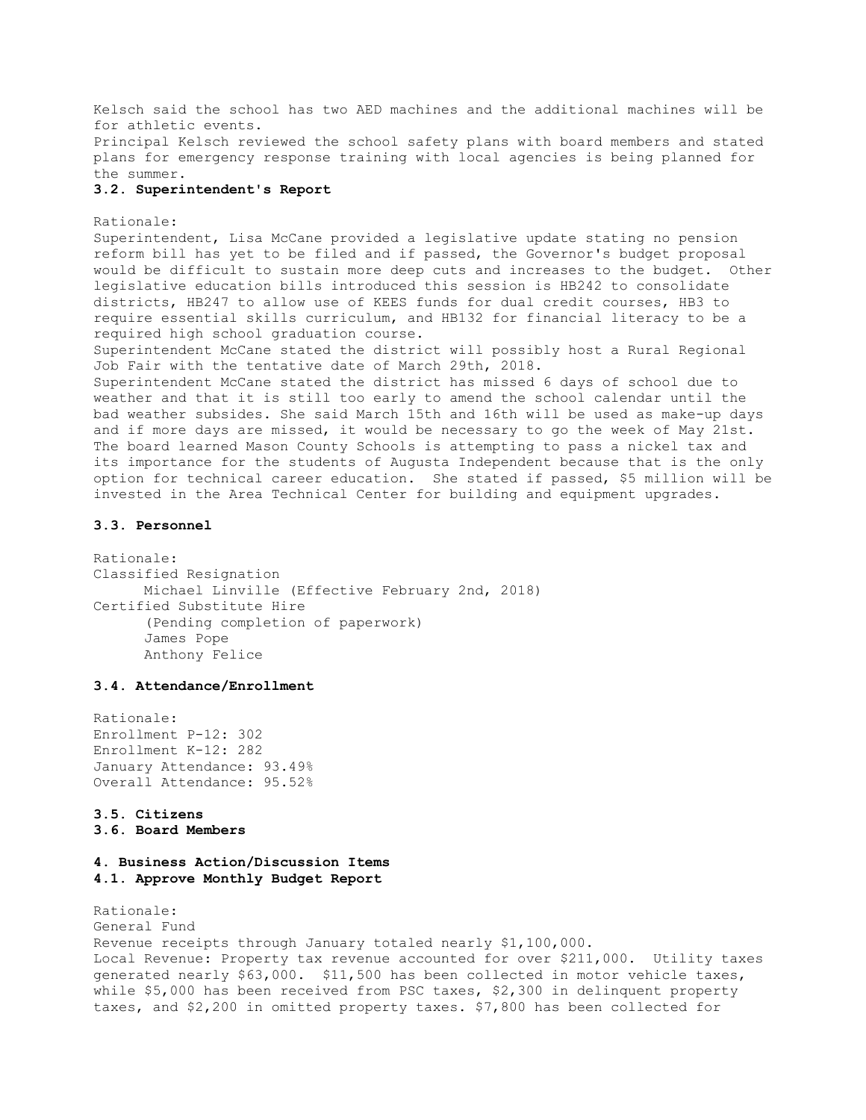Kelsch said the school has two AED machines and the additional machines will be for athletic events. Principal Kelsch reviewed the school safety plans with board members and stated plans for emergency response training with local agencies is being planned for

the summer.

#### **3.2. Superintendent's Report**

Rationale: Superintendent, Lisa McCane provided a legislative update stating no pension reform bill has yet to be filed and if passed, the Governor's budget proposal would be difficult to sustain more deep cuts and increases to the budget. Other legislative education bills introduced this session is HB242 to consolidate districts, HB247 to allow use of KEES funds for dual credit courses, HB3 to require essential skills curriculum, and HB132 for financial literacy to be a required high school graduation course.

Superintendent McCane stated the district will possibly host a Rural Regional Job Fair with the tentative date of March 29th, 2018.

Superintendent McCane stated the district has missed 6 days of school due to weather and that it is still too early to amend the school calendar until the bad weather subsides. She said March 15th and 16th will be used as make-up days and if more days are missed, it would be necessary to go the week of May 21st. The board learned Mason County Schools is attempting to pass a nickel tax and its importance for the students of Augusta Independent because that is the only option for technical career education. She stated if passed, \$5 million will be invested in the Area Technical Center for building and equipment upgrades.

#### **3.3. Personnel**

Rationale: Classified Resignation Michael Linville (Effective February 2nd, 2018) Certified Substitute Hire (Pending completion of paperwork) James Pope Anthony Felice

# **3.4. Attendance/Enrollment**

Rationale: Enrollment P-12: 302 Enrollment K-12: 282 January Attendance: 93.49% Overall Attendance: 95.52%

## **3.5. Citizens 3.6. Board Members**

# **4. Business Action/Discussion Items 4.1. Approve Monthly Budget Report**

Rationale: General Fund Revenue receipts through January totaled nearly \$1,100,000. Local Revenue: Property tax revenue accounted for over \$211,000. Utility taxes generated nearly \$63,000. \$11,500 has been collected in motor vehicle taxes, while \$5,000 has been received from PSC taxes, \$2,300 in delinquent property taxes, and \$2,200 in omitted property taxes. \$7,800 has been collected for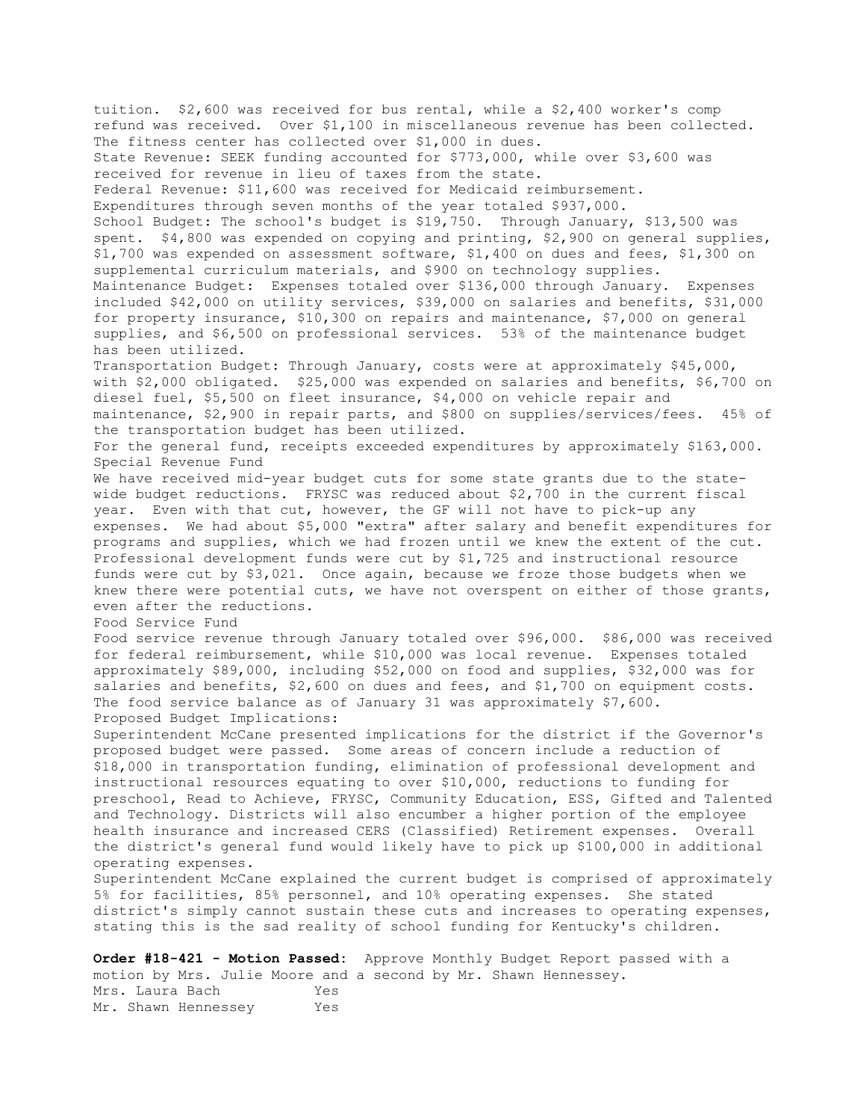tuition. \$2,600 was received for bus rental, while a \$2,400 worker's comp refund was received. Over \$1,100 in miscellaneous revenue has been collected. The fitness center has collected over \$1,000 in dues. State Revenue: SEEK funding accounted for \$773,000, while over \$3,600 was received for revenue in lieu of taxes from the state. Federal Revenue: \$11,600 was received for Medicaid reimbursement. Expenditures through seven months of the year totaled \$937,000. School Budget: The school's budget is \$19,750. Through January, \$13,500 was spent. \$4,800 was expended on copying and printing, \$2,900 on general supplies, \$1,700 was expended on assessment software, \$1,400 on dues and fees, \$1,300 on supplemental curriculum materials, and \$900 on technology supplies. Maintenance Budget: Expenses totaled over \$136,000 through January. Expenses included \$42,000 on utility services, \$39,000 on salaries and benefits, \$31,000 for property insurance, \$10,300 on repairs and maintenance, \$7,000 on general supplies, and \$6,500 on professional services. 53% of the maintenance budget has been utilized. Transportation Budget: Through January, costs were at approximately \$45,000, with \$2,000 obligated. \$25,000 was expended on salaries and benefits, \$6,700 on diesel fuel, \$5,500 on fleet insurance, \$4,000 on vehicle repair and maintenance, \$2,900 in repair parts, and \$800 on supplies/services/fees. 45% of the transportation budget has been utilized. For the general fund, receipts exceeded expenditures by approximately \$163,000. Special Revenue Fund We have received mid-year budget cuts for some state grants due to the statewide budget reductions. FRYSC was reduced about \$2,700 in the current fiscal year. Even with that cut, however, the GF will not have to pick-up any expenses. We had about \$5,000 "extra" after salary and benefit expenditures for programs and supplies, which we had frozen until we knew the extent of the cut. Professional development funds were cut by \$1,725 and instructional resource funds were cut by \$3,021. Once again, because we froze those budgets when we knew there were potential cuts, we have not overspent on either of those grants, even after the reductions. Food Service Fund Food service revenue through January totaled over \$96,000. \$86,000 was received for federal reimbursement, while \$10,000 was local revenue. Expenses totaled approximately \$89,000, including \$52,000 on food and supplies, \$32,000 was for salaries and benefits, \$2,600 on dues and fees, and \$1,700 on equipment costs. The food service balance as of January 31 was approximately \$7,600. Proposed Budget Implications: Superintendent McCane presented implications for the district if the Governor's proposed budget were passed. Some areas of concern include a reduction of \$18,000 in transportation funding, elimination of professional development and instructional resources equating to over \$10,000, reductions to funding for preschool, Read to Achieve, FRYSC, Community Education, ESS, Gifted and Talented and Technology. Districts will also encumber a higher portion of the employee health insurance and increased CERS (Classified) Retirement expenses. Overall the district's general fund would likely have to pick up \$100,000 in additional operating expenses. Superintendent McCane explained the current budget is comprised of approximately 5% for facilities, 85% personnel, and 10% operating expenses. She stated district's simply cannot sustain these cuts and increases to operating expenses, stating this is the sad reality of school funding for Kentucky's children. **Order #18-421 - Motion Passed:** Approve Monthly Budget Report passed with a

motion by Mrs. Julie Moore and a second by Mr. Shawn Hennessey. Mrs. Laura Bach Yes Mr. Shawn Hennessey Yes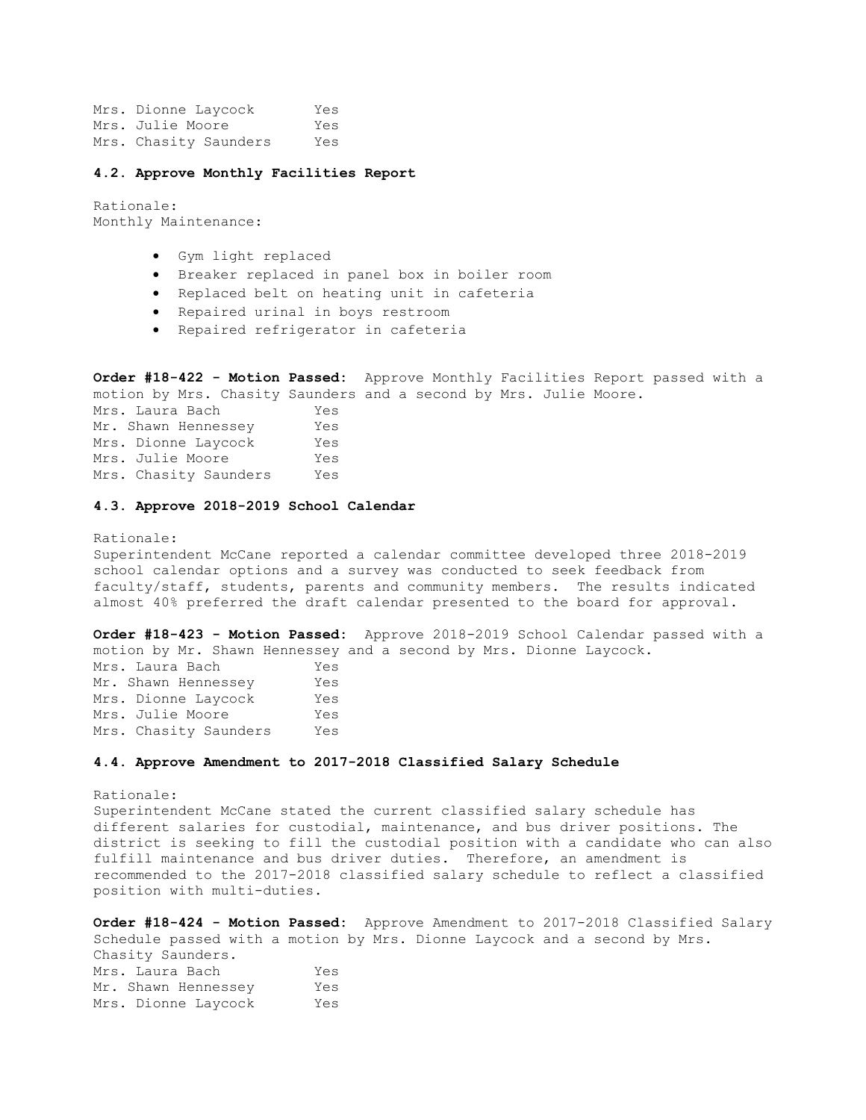Mrs. Dionne Laycock Yes Mrs. Julie Moore Yes Mrs. Chasity Saunders Yes

#### **4.2. Approve Monthly Facilities Report**

Rationale: Monthly Maintenance:

- Gym light replaced
- Breaker replaced in panel box in boiler room
- Replaced belt on heating unit in cafeteria
- Repaired urinal in boys restroom
- Repaired refrigerator in cafeteria

**Order #18-422 - Motion Passed:** Approve Monthly Facilities Report passed with a motion by Mrs. Chasity Saunders and a second by Mrs. Julie Moore. Mrs. Laura Bach Yes Mr. Shawn Hennessey Yes Mrs. Dionne Laycock Yes Mrs. Julie Moore Yes Mrs. Chasity Saunders Yes

### **4.3. Approve 2018-2019 School Calendar**

Rationale: Superintendent McCane reported a calendar committee developed three 2018-2019 school calendar options and a survey was conducted to seek feedback from faculty/staff, students, parents and community members. The results indicated almost 40% preferred the draft calendar presented to the board for approval.

**Order #18-423 - Motion Passed:** Approve 2018-2019 School Calendar passed with a motion by Mr. Shawn Hennessey and a second by Mrs. Dionne Laycock. Mrs. Laura Bach Yes Mr. Shawn Hennessey Yes Mrs. Dionne Laycock Yes Mrs. Julie Moore Yes Mrs. Chasity Saunders Yes

### **4.4. Approve Amendment to 2017-2018 Classified Salary Schedule**

Rationale: Superintendent McCane stated the current classified salary schedule has different salaries for custodial, maintenance, and bus driver positions. The district is seeking to fill the custodial position with a candidate who can also fulfill maintenance and bus driver duties. Therefore, an amendment is recommended to the 2017-2018 classified salary schedule to reflect a classified position with multi-duties.

**Order #18-424 - Motion Passed:** Approve Amendment to 2017-2018 Classified Salary Schedule passed with a motion by Mrs. Dionne Laycock and a second by Mrs. Chasity Saunders. Mrs. Laura Bach Yes Mr. Shawn Hennessey Yes Mrs. Dionne Laycock Yes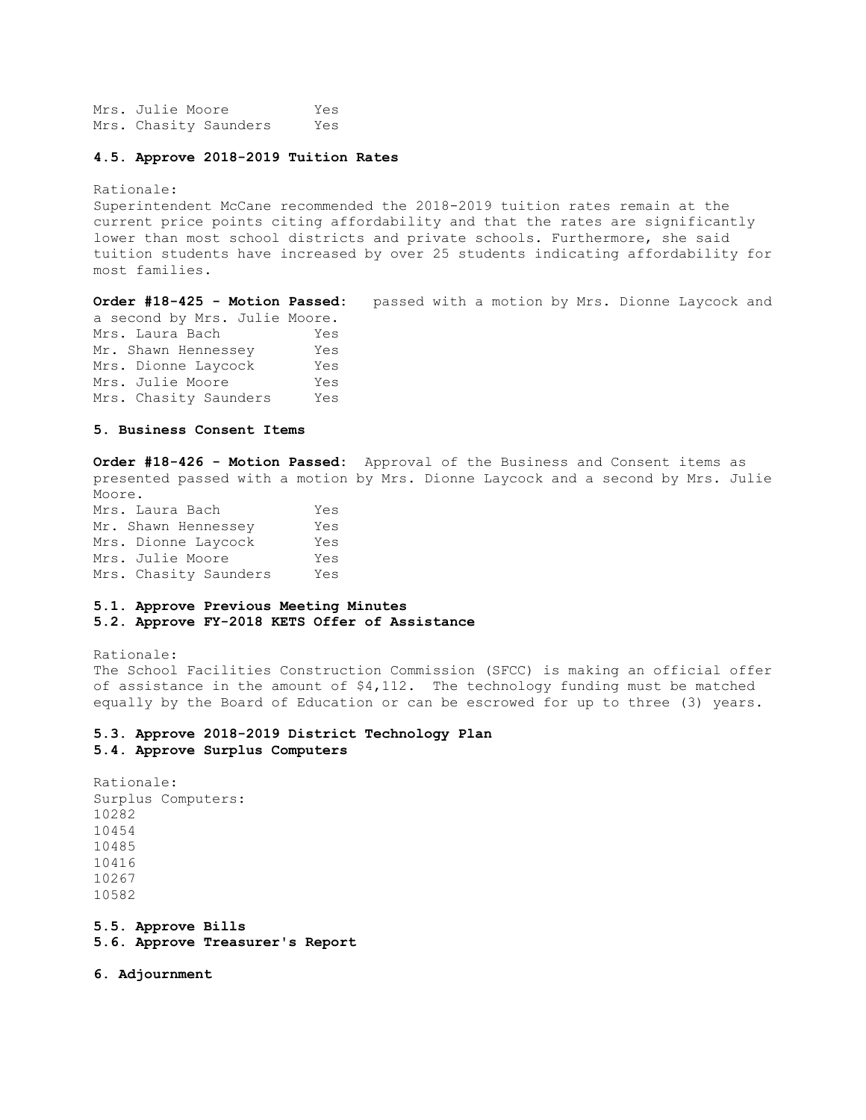Mrs. Julie Moore Yes Mrs. Chasity Saunders Yes

#### **4.5. Approve 2018-2019 Tuition Rates**

Rationale:

Superintendent McCane recommended the 2018-2019 tuition rates remain at the current price points citing affordability and that the rates are significantly lower than most school districts and private schools. Furthermore, she said tuition students have increased by over 25 students indicating affordability for most families.

**Order #18-425 - Motion Passed:** passed with a motion by Mrs. Dionne Laycock and

a second by Mrs. Julie Moore. Mrs. Laura Bach Yes Mr. Shawn Hennessey Yes Mrs. Dionne Laycock Yes Mrs. Julie Moore Yes Mrs. Chasity Saunders Yes

## **5. Business Consent Items**

**Order #18-426 - Motion Passed:** Approval of the Business and Consent items as presented passed with a motion by Mrs. Dionne Laycock and a second by Mrs. Julie Moore. Mrs. Laura Bach Yes Mr. Shawn Hennessey Yes Mrs. Dionne Laycock Yes Mrs. Julie Moore Yes Mrs. Chasity Saunders Yes

#### **5.1. Approve Previous Meeting Minutes**

**5.2. Approve FY-2018 KETS Offer of Assistance** 

Rationale: The School Facilities Construction Commission (SFCC) is making an official offer of assistance in the amount of  $$4,112$ . The technology funding must be matched equally by the Board of Education or can be escrowed for up to three (3) years.

#### **5.3. Approve 2018-2019 District Technology Plan 5.4. Approve Surplus Computers**

Rationale: Surplus Computers: 10282 10454 10485 10416 10267 10582

**5.5. Approve Bills 5.6. Approve Treasurer's Report** 

**6. Adjournment**